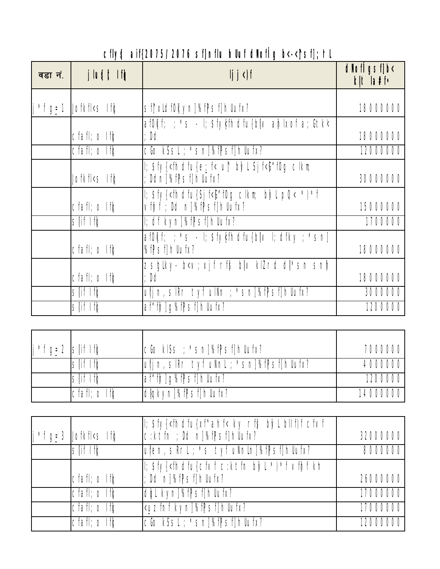## cfly\$ aif{2075/2076 sf]nflu hlluf dlof [g b<-< sf]; hl

| वडा नं.     | jlu§t Ifg                                                                       | $ j \rangle$                                                                                                                                                                                                                                                                                   | $d$ <i>Nof</i> $\sqrt{g}$ sf $\sqrt{g}$<br>klt la#f• |
|-------------|---------------------------------------------------------------------------------|------------------------------------------------------------------------------------------------------------------------------------------------------------------------------------------------------------------------------------------------------------------------------------------------|------------------------------------------------------|
|             |                                                                                 |                                                                                                                                                                                                                                                                                                |                                                      |
| $i * f$ g=1 | Jofkfl <s if¢<="" td=""><td>sf1xldf0kyn1%fPsf1hllufx?</td><td>18000000</td></s> | sf1xldf0kyn1%fPsf1hllufx?                                                                                                                                                                                                                                                                      | 18000000                                             |
|             |                                                                                 | $a_0$ afokf; $\frac{1}{2}$ *s - I; $\frac{1}{2}$ ify $\frac{1}{2}$ if $\frac{1}{2}$ if $\frac{1}{2}$ if $\frac{1}{2}$ if $\frac{1}{2}$ if $\frac{1}{2}$ if $\frac{1}{2}$ if $\frac{1}{2}$ if $\frac{1}{2}$ if $\frac{1}{2}$ if $\frac{1}{2}$ if $\frac{1}{2}$ if $\frac{1}{2}$ if $\frac{1}{2$ |                                                      |
|             | $cfaff; o If \phi$                                                              | : Dd                                                                                                                                                                                                                                                                                           | 18000000                                             |
|             | $cfaff; o If \phi$                                                              | cGo kSsL; *sn]%fPsf]hllufx?                                                                                                                                                                                                                                                                    | 12000000                                             |
|             |                                                                                 | l; \$fy{ <fhdfu{e;_f< b}="" clkm;<="" f<{^f0g="" l="" sj="" td="" u↑=""><td></td></fhdfu{e;_f<>                                                                                                                                                                                                |                                                      |
|             | Jofkfl <s if¢<="" td=""><td>; Ddn]%fPsf]hllufx?</td><td>30000000</td></s>       | ; Ddn]%fPsf]hllufx?                                                                                                                                                                                                                                                                            | 30000000                                             |
|             |                                                                                 | l; \$fy{ <fhdfu{sj *)*f<="" b}="" clkm;="" f<l}^f0g="" l="" pq<="" td=""><td></td></fhdfu{sj>                                                                                                                                                                                                  |                                                      |
|             | $cfaff; o If \phi$                                                              | vfhf; Dd n]%fPsf]hllufx?                                                                                                                                                                                                                                                                       | 15000000                                             |
|             | slif Ifa                                                                        | I; df kyn]%fPsf]hllufx?                                                                                                                                                                                                                                                                        | 1700000                                              |
|             |                                                                                 | $a_0$ afokf; ; *s - I; $\frac{1}{2}$ ify $\frac{1}{2}$ if $\frac{1}{2}$ if $\frac{1}{2}$ if $\frac{1}{2}$ if $\frac{1}{2}$ if $\frac{1}{2}$ if $\frac{1}{2}$ if $\frac{1}{2}$ if $\frac{1}{2}$ if $\frac{1}{2}$ if $\frac{1}{2}$ if $\frac{1}{2}$ if $\frac{1}{2}$ if $\frac{1}{2}$ if $\$     |                                                      |
|             | $cfaff; o If \phi$                                                              | %fPsf1hllufx?                                                                                                                                                                                                                                                                                  | 18000000                                             |
|             |                                                                                 | zsglky- b <v; bllv="" dl *sn="" klzrd="" rf\$="" snlh<="" td="" xjf=""><td></td></v;>                                                                                                                                                                                                          |                                                      |
|             | $cfaff; o If \phi$                                                              | : Dd                                                                                                                                                                                                                                                                                           | 18000000                                             |
|             | slif Ifa                                                                        | $\mu$ i n, sl $\ell$ r tyf ul $\ell$ n; *sn $\ell$ f $\ell$ sf $\ell$ hllufx?                                                                                                                                                                                                                  | 3000000                                              |
|             | slif Ifg                                                                        | af^fh]q%fPsf]hllufx?                                                                                                                                                                                                                                                                           | 1200000                                              |

| $j * f g = 2  S  f  f g$ |                                    | cGo kISs ; *sn]%fPsf]hllufx?              | 7000000  |
|--------------------------|------------------------------------|-------------------------------------------|----------|
|                          | slif Ifa                           | uf j n, s Rr tyf uNnl ; *sn]%fPsf]hllufx? | 4000000  |
|                          | $\mathsf{s}$ fif If $\mathsf{\`a}$ | af^fh]g%fPsf]hllufx?                      | 1200000  |
|                          | $ cfaff; o If \phi$                | dlgkyn]%flPsf]hllufx?                     | 14000000 |

| $j * f g = 3$ Jofkfl <s if<math="">\phi</s> | ; \$fy{ <fhdfu{xf^ahf< bllf)f="" b}\l="" cfvf<br="" ky="" rf\$=""> c:ktfn ; Dd n]%fPsf]hllufx?</fhdfu{xf^ahf<> | 32000000 |
|---------------------------------------------|----------------------------------------------------------------------------------------------------------------|----------|
| slif Ifa                                    | ufen, sRrl ; *s tyf uNnln]%fPsf]hllufx?                                                                        | 8000000  |
| cfafl; o Ifg                                | I; \$fy{ <fhdfu{cfvf *)*f="" b}="" c:ktfn="" kh<br="" l="" vfjhf="">; Dd n]%fPsf]hllufx?</fhdfu{cfvf>          | 26000000 |
| cfafl; o Ifa                                | dgl kyn]%fpsf]hllufx?                                                                                          | 17000000 |
| $cfaff; o If \phi$                          | <uzfnf kyn]%fpsf]hllufx?<="" td=""><td>17000000</td></uzfnf>                                                   | 17000000 |
| $cfaff; o If \phi$                          | 'cGo kSsL; *sn]%fPsf]hllufx?                                                                                   | 12000000 |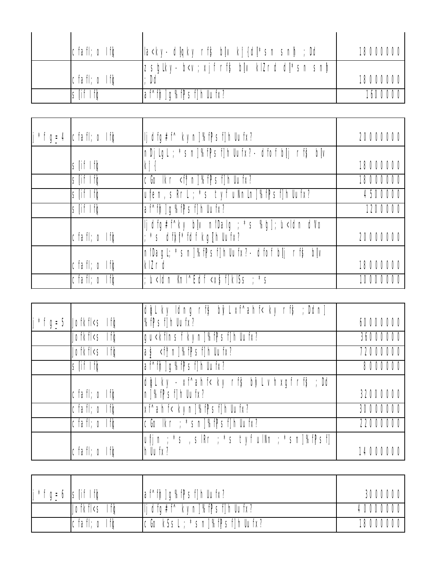| $ cfaff; o If \phi$ | la <ky- ;="" bl v="" dd<="" dliqky="" kj="" rfs="" sn h="" td="" {dl]*sn=""><td>18000000</td></ky-> | 18000000 |
|---------------------|-----------------------------------------------------------------------------------------------------|----------|
|                     | zsglky- b <v; bl v="" dl *sn="" klzrd="" rf\$="" sn h="" td="" xjf=""   <=""><td></td></v;>         |          |
| $ cfaff; o If \phi$ | : Dd                                                                                                | 18000000 |
| slif Ifa            | af^fh]g%fPsf]hllufx?                                                                                |          |

| $\int f \, g_{\equiv} 4$   cfafl; o If $\phi$ | lj dfg#f^ kyn]%fPsf]hllufx?                                                                                                     | 20000000 |
|-----------------------------------------------|---------------------------------------------------------------------------------------------------------------------------------|----------|
|                                               | nDjlgl; *sn]%fPsf]hUufx?-dfof bl j rf\$ bl v                                                                                    |          |
| slif Ifa                                      | k'i {                                                                                                                           | 18000000 |
| slif Ifa                                      | $C_0$ $\lfloor k \rfloor$ $\leq$ $\lceil k \rfloor$ $\lceil k \rfloor$ $\lceil k \rfloor$ $\lceil k \rfloor$ $\lceil k \rfloor$ | 18000000 |
| slif Ifa                                      | ufen, sRrL ; *s tyf uNnln]%fPsf]hllufx?                                                                                         | 4500000  |
| slif Ifa                                      | af^fh]g%fPsf]hllufx?                                                                                                            | 1200000  |
| $cfaff; o If \phi$                            | lj dfg#f^ky blv nlDalg ; *s %g]; u <ldn dvo<br="">*s df i *fdf kg [hllufx?</ldn>                                                | 20000000 |
|                                               | nlDagl; *sn]%fPsf]hllufx?- dfof blj rf\$ blv                                                                                    |          |
| $cfaff; o If \phi$                            | klZrd                                                                                                                           | 18000000 |
| $cfaff; o If \phi$                            | ; u <ldn <x<math="" knl^edf="">\frac{1}{5}f klSs ; *s</ldn>                                                                     | 10000000 |

|                                                                                                                                             | dgl ky ldng rf\$ b}/l xf^ahf< ky rf\$ ; Ddn]                                           |          |
|---------------------------------------------------------------------------------------------------------------------------------------------|----------------------------------------------------------------------------------------|----------|
| $i * f q = 5$ Jofkfks Ifg                                                                                                                   | %fPsf1hllufx?                                                                          | 60000000 |
| Jofkfl <s ifg<="" td=""><td>gu<kflnsf kyn]%fpsf]hllufx?<="" td=""><td>36000000</td></kflnsf></td></s>                                       | gu <kflnsf kyn]%fpsf]hllufx?<="" td=""><td>36000000</td></kflnsf>                      | 36000000 |
| Jofkfl <s if¢<="" td=""><td><math>a_{\Sigma}</math> &lt;<math>\frac{1}{2}</math>n]%f<math>\Gamma</math>sf]hllufx?</td><td>72000000</td></s> | $a_{\Sigma}$ < $\frac{1}{2}$ n]%f $\Gamma$ sf]hllufx?                                  | 72000000 |
| slif Ifg                                                                                                                                    | af^fh]g%fPsf]hllufx?                                                                   | 8000000  |
|                                                                                                                                             | dgl ky - xf^ahf< ky rf\$ b}Vl vhxgf rf\$ ; Dd                                          |          |
| $cfaff; o If \phi$                                                                                                                          | n]%fPsf]hllufx?                                                                        | 32000000 |
| cfafl; o If q                                                                                                                               | xf^ahf< kyn]%fPsf]hllufx?                                                              | 30000000 |
| $\overline{cfaff}$ ; o Ifg                                                                                                                  | cGolkr; *sn]%fpsf]hllufx?                                                              | 22000000 |
|                                                                                                                                             | $u\parallel n$ ; $*$ s, sl $R$ r; $*$ s tyf ul $M$ n; $*$ sn $\%$ f $P$ sf $\parallel$ |          |
| $cfaff; o If \phi$                                                                                                                          | hllufx?                                                                                | 14000000 |

| $j * f$ g=6 S if If q |                                                                                                                                                                                                                                                                                                                                                                                                                                                                                                                                                                                              | af^fh]q%fPsf]hllufx?                                                                                                                                                                                                                                                                                                                                                                                                                                                                                          | 3000000  |
|-----------------------|----------------------------------------------------------------------------------------------------------------------------------------------------------------------------------------------------------------------------------------------------------------------------------------------------------------------------------------------------------------------------------------------------------------------------------------------------------------------------------------------------------------------------------------------------------------------------------------------|---------------------------------------------------------------------------------------------------------------------------------------------------------------------------------------------------------------------------------------------------------------------------------------------------------------------------------------------------------------------------------------------------------------------------------------------------------------------------------------------------------------|----------|
|                       | Jofkfl <s d<="" if="" td=""><td><math>\vert\vert\vert</math> dfg#f^ kyn<math>\vert\mathcal{C}\vert\vert\mathcal{C}\vert\vert\mathcal{C}\vert\vert\vert\mathcal{C}\vert\mathcal{C}\vert\vert\mathcal{C}\vert\mathcal{C}\vert\mathcal{C}\vert\mathcal{C}\vert\mathcal{C}\vert\mathcal{C}\vert\mathcal{C}\vert\mathcal{C}\vert\mathcal{C}\vert\mathcal{C}\vert\mathcal{C}\vert\mathcal{C}\vert\mathcal{C}\vert\mathcal{C}\vert\mathcal{C}\vert\mathcal{C}\vert\mathcal{C}\vert\mathcal{C}\vert\mathcal{C}\vert\mathcal{C}\vert\mathcal{C}\vert\mathcal{C}\vert</math></td><td>40000000</td></s> | $\vert\vert\vert$ dfg#f^ kyn $\vert\mathcal{C}\vert\vert\mathcal{C}\vert\vert\mathcal{C}\vert\vert\vert\mathcal{C}\vert\mathcal{C}\vert\vert\mathcal{C}\vert\mathcal{C}\vert\mathcal{C}\vert\mathcal{C}\vert\mathcal{C}\vert\mathcal{C}\vert\mathcal{C}\vert\mathcal{C}\vert\mathcal{C}\vert\mathcal{C}\vert\mathcal{C}\vert\mathcal{C}\vert\mathcal{C}\vert\mathcal{C}\vert\mathcal{C}\vert\mathcal{C}\vert\mathcal{C}\vert\mathcal{C}\vert\mathcal{C}\vert\mathcal{C}\vert\mathcal{C}\vert\mathcal{C}\vert$ | 40000000 |
|                       | $ cfaff; o If \phi$                                                                                                                                                                                                                                                                                                                                                                                                                                                                                                                                                                          | cGo kSsL; *sn]%fPsf]hllufx?                                                                                                                                                                                                                                                                                                                                                                                                                                                                                   | 18000000 |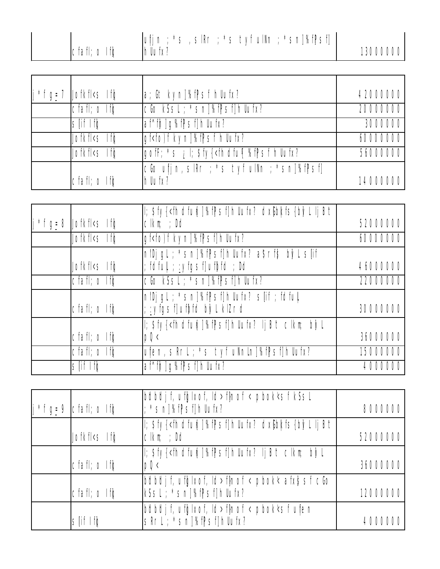| $cfaff; o If \phi$<br>hllufx?<br>13000000 |
|-------------------------------------------|
|-------------------------------------------|

| $j * f g = 7$ Jofkfl <s if<="" td=""><td>la; Gt kyn]%fPsf hllufx?</td><td>42000000</td></s>                           | la; Gt kyn]%fPsf hllufx?                                                          | 42000000 |
|-----------------------------------------------------------------------------------------------------------------------|-----------------------------------------------------------------------------------|----------|
| $cfaff; o If \phi$                                                                                                    | cGo kSsL; *sn]%fPsf]hllufx?                                                       | 20000000 |
| slif Ifa                                                                                                              | af^fh]g%fPsf]hlufx?                                                               | 3000000  |
| Jofkfl <s \dots<="" if="" td=""><td>gf<fo)f hllufx?<="" kyn]%fpsf="" td=""><td>60000000</td></fo)f></td></s>          | gf <fo)f hllufx?<="" kyn]%fpsf="" td=""><td>60000000</td></fo)f>                  | 60000000 |
| Jofkfl <s if¢<="" td=""><td>gofF; *s : إن \$fy{<fhdfu{ %fpsf="" hllufx?<="" td=""><td>56000000</td></fhdfu{></td></s> | gofF; *s : إن \$fy{ <fhdfu{ %fpsf="" hllufx?<="" td=""><td>56000000</td></fhdfu{> | 56000000 |
|                                                                                                                       | cGo ufj n, sIRr ; *s tyf ulNn ; *sn]%fPsf]                                        |          |
| cfafl; o Ifo                                                                                                          | hllufx?                                                                           | 14000000 |

| $\int f g_{\pm} 8$ Jofkfl <s ifg<="" th=""><th>l; \$fy{<fhdfu{i]%f]psf]hllufx? dx(]bkfs{b}="" lljbt<br=""><math>Clkm;</math> ; <math>Dd</math></fhdfu{i]%f]psf]hllufx?></th><th>52000000</th></s> | l; \$fy{ <fhdfu{i]%f]psf]hllufx? dx(]bkfs{b}="" lljbt<br=""><math>Clkm;</math> ; <math>Dd</math></fhdfu{i]%f]psf]hllufx?> | 52000000 |
|---------------------------------------------------------------------------------------------------------------------------------------------------------------------------------------------------|---------------------------------------------------------------------------------------------------------------------------|----------|
| Jofkfl <s if¢<="" td=""><td>gf<fo)f kyn]%fpsf]hllufx?<="" td=""><td>60000000</td></fo)f></td></s>                                                                                                 | gf <fo)f kyn]%fpsf]hllufx?<="" td=""><td>60000000</td></fo)f>                                                             | 60000000 |
| Jofkfl <s \dots<="" if="" td=""><td>nlDj gl ; *sn]%f]Psf]hllufx? a\$rf\$ b}/l s[if<br/>; fdful  ; :yfgsf]ufbfd ; Dd</td><td>46000000</td></s>                                                     | nlDj gl ; *sn]%f]Psf]hllufx? a\$rf\$ b}/l s[if<br>; fdful  ; :yfgsf]ufbfd ; Dd                                            | 46000000 |
| $\overline{C}$ fafl; o If $\phi$                                                                                                                                                                  | cGo kSsL; *sn]%fPsf]hllufx?                                                                                               | 22000000 |
| $cfaff; o If \phi$                                                                                                                                                                                | nlDj gl; *sn]%fPsf]hllufx? s[if; fdful <br>: : yfgsf]ufbfd byl klZrd                                                      | 30000000 |
| $cfaff; o If \phi$                                                                                                                                                                                | l; \$fy{ <fhdfufi]%fpsf]hllufx? b't="" b}="" clkm;="" l<br="" lj="">pQ<sub>1</sub></fhdfufi]%fpsf]hllufx?>                | 36000000 |
| $\overline{C}$ fafl; o If $\phi$                                                                                                                                                                  | ufen, sRrL ; *s tyf uNnln]%fPsf]hllufx?                                                                                   | 15000000 |
| slif Ifa                                                                                                                                                                                          | af^fh]g%fPsf]hllufx?                                                                                                      | 4000000  |

| $\int f \, \mathrm{g} = 9$ cfafl; o If $\phi$                                                                                                                     | bdbdjf, ufglxof, Id>flnof < pbok'sf kSsl<br>$\frac{1}{2}$ *sn]%f $\mathbb{P}$ sf]hllufx?                     | 8000000  |
|-------------------------------------------------------------------------------------------------------------------------------------------------------------------|--------------------------------------------------------------------------------------------------------------|----------|
| Jofkfl <s if¢<="" td=""><td>l; \$fy{<fhdfu{i]%f]psf]hllufx? dx(lb)kfs{b}vlljb't <br=""><math>Clkm:</math> ; Dd</fhdfu{i]%f]psf]hllufx?></td><td>52000000</td></s> | l; \$fy{ <fhdfu{i]%f]psf]hllufx? dx(lb)kfs{b}vlljb't <br=""><math>Clkm:</math> ; Dd</fhdfu{i]%f]psf]hllufx?> | 52000000 |
| $ cfaff; o If \phi$                                                                                                                                               | I; \$fy{ <fhdfu{i]%fpsf]hllufx? b't="" b}="" clkm;="" ij="" l<br="">pQ<sub>1</sub></fhdfu{i]%fpsf]hllufx?>   | 36000000 |
| $ cfaff; o If \phi$                                                                                                                                               | bdbdjf, ufglxof, ld>flnof < pbok< afx\$sf cGo<br>kSsl ; *sn]%fpsf]hllufx?                                    | 12000000 |
| slif Ifg                                                                                                                                                          | bdbdjf, ufglxof, ld>flnof < pbok'sf ufen<br>SRrl <sup>"</sup> ; *snJ%fPsf]hlufx?                             | 4000000  |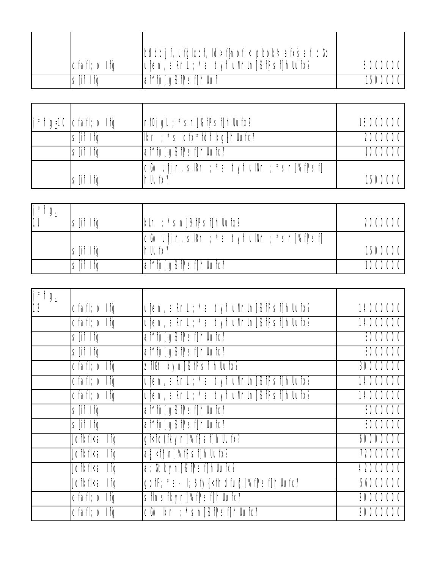|                     | bdbdj f, ufglxof, ld>flnof < pbok< afx}sf cGo |         |
|---------------------|-----------------------------------------------|---------|
| $ cfaff; o If \phi$ | ufen, skrt; *s tyf uNnln %fPsf hllufx?        | 8000000 |
| slif Ifa            | af^fh]q%fPsf]hlluf                            | 1500000 |

| *f g=10   cfafl; o If $\phi$ | InIDjqL; *sn]%fPsf]hUufx?                                                                                          | 18000000 |
|------------------------------|--------------------------------------------------------------------------------------------------------------------|----------|
| slif Ifa                     | $\lfloor \frac{\kappa}{2} \rfloor$ ikr ; *s df \*fdf kg $\lfloor \frac{\kappa}{2} \rfloor$ hllur $\sqrt{\kappa^2}$ | 2000000  |
| slif Ifg                     | af^fh]g%fPsf]hllufx?                                                                                               | 1000000  |
| slif Ifg                     | cGo ufj n, sIRr ; *s tyf ulNn ; *sn]%fPsf]<br>hllufx?                                                              | 1500000  |
|                              |                                                                                                                    |          |

| i *f ∩<br>$\frac{1}{11}$ 9. | slif Ifq | $\lfloor k \rfloor$ ; *sn $\lfloor k \rfloor$ %f $\lfloor k \rfloor$ sf $\lfloor k \rfloor$ hllufx? | 2000000 |
|-----------------------------|----------|-----------------------------------------------------------------------------------------------------|---------|
|                             | slif Ifa | cGo uf j n, slRr ; *s tyf ulNn ; *sn]%fPsf]<br>hllufx?                                              | 1500000 |
|                             | slif Ifa | af^fjh]g%fjPsf]hllufx?                                                                              | 1000000 |

| $j * f g_{\perp}$ |                                                                                                                                     |                                                                                             |          |
|-------------------|-------------------------------------------------------------------------------------------------------------------------------------|---------------------------------------------------------------------------------------------|----------|
| 12                | cfafl; o Ifo                                                                                                                        | ufen, sRrl ; *s tyf uNnln]%fPsf]hllufx?                                                     | 14000000 |
|                   | $cfaff; o If \phi$                                                                                                                  | ufen, sRrl ; *s tyf uNnln]%fPsf]hllufx?                                                     | 14000000 |
|                   | slif Ifa                                                                                                                            | af^fh]q%fPsf]hllufx?                                                                        | 3000000  |
|                   | slif Ifa                                                                                                                            | af^fh]g%fPsf]hllufx?                                                                        | 3000000  |
|                   | $cfaff; o If \phi$                                                                                                                  | zflGt kyn]%fPsf hllufx?                                                                     | 30000000 |
|                   | $\overline{C}$ fafl; o If $\phi$                                                                                                    | ufen, sRrl ; *s tyf uNnln]%fPsf]hllufx?                                                     | 14000000 |
|                   | cfafl; o Ifg                                                                                                                        | ufen, sRrl ; *s tyf uNnln]%fPsf]hllufx?                                                     | 14000000 |
|                   | slif Ifa                                                                                                                            | af^fh]q%fPsf]hllufx?                                                                        | 3000000  |
|                   | slif Ifa                                                                                                                            | af^fh]q%fPsf]hllufx?                                                                        | 3000000  |
|                   | Jofkfl <s if¢<="" td=""><td>gf<fo)fkyn]%fpsf]hllufx?< td=""><td>60000000</td></fo)fkyn]%fpsf]hllufx?<></td></s>                     | gf <fo)fkyn]%fpsf]hllufx?< td=""><td>60000000</td></fo)fkyn]%fpsf]hllufx?<>                 | 60000000 |
|                   | Jofkfl <s if="" td="" ¢<=""><td>a\$<f*n]%fpsf]hllufx?< td=""><td>72000000</td></f*n]%fpsf]hllufx?<></td></s>                        | a\$ <f*n]%fpsf]hllufx?< td=""><td>72000000</td></f*n]%fpsf]hllufx?<>                        | 72000000 |
|                   | Jofkfl <s if¢<="" td=""><td>a; Gtkyn]%fPsf]hllufx?</td><td>42000000</td></s>                                                        | a; Gtkyn]%fPsf]hllufx?                                                                      | 42000000 |
|                   | Jofkfl <s if="" td="" ¢<=""><td>gofF; *s- I; \$fy{<fhdfufi]%fpsf]hllufx?< td=""><td>56000000</td></fhdfufi]%fpsf]hllufx?<></td></s> | gofF; *s- I; \$fy{ <fhdfufi]%fpsf]hllufx?< td=""><td>56000000</td></fhdfufi]%fpsf]hllufx?<> | 56000000 |
|                   | $cfaff; o If \phi$                                                                                                                  | sflnsfkyn]%fPsf]hllufx?                                                                     | 20000000 |
|                   | $cfaff; o If \phi$                                                                                                                  | cGolkr; *sn]%fPsf]hllufx?                                                                   | 20000000 |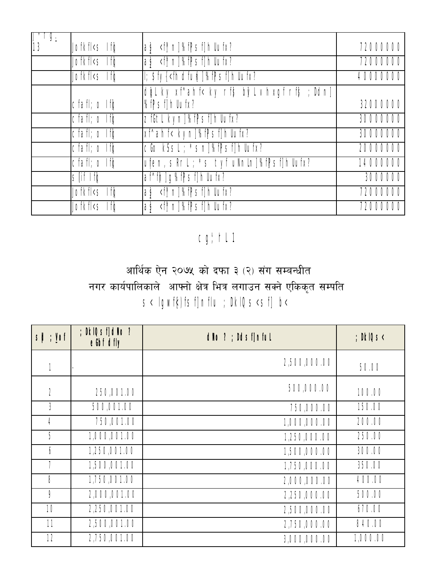| <u>y.</u><br>13 | Jofkfl <s if¢<="" th=""><th>ab <thent>n %f Psf hllufx?</thent></th><th>72000000</th></s>                              | ab <thent>n %f Psf hllufx?</thent>                                                | 72000000 |
|-----------------|-----------------------------------------------------------------------------------------------------------------------|-----------------------------------------------------------------------------------|----------|
|                 | Jofkfl <s if¢<="" td=""><td>as <the 1%fpsf1hllufx?<="" td=""><td>72000000</td></the></td></s>                         | as <the 1%fpsf1hllufx?<="" td=""><td>72000000</td></the>                          | 72000000 |
|                 | Jofkfl <s if¢<="" td=""><td>I; \$fy{<fhdfufi]%fpsf]hllufx?< td=""><td>40000000</td></fhdfufi]%fpsf]hllufx?<></td></s> | I; \$fy{ <fhdfufi]%fpsf]hllufx?< td=""><td>40000000</td></fhdfufi]%fpsf]hllufx?<> | 40000000 |
|                 | $cfaff; o If \phi$                                                                                                    | dgl ky xf^ahf< ky rf\$ b}/l vhxgf rf\$ ; Ddn]<br>%fPsf1hllufx?                    | 32000000 |
|                 | $cfaff; o If \phi$                                                                                                    | zfGtl kyn]%fPsf]hllufx?                                                           | 30000000 |
|                 | $Cfaff$ ; $O$ If $\phi$                                                                                               | xf^ahf< kyn]%fPsf]hllufx?                                                         | 30000000 |
|                 | cfafl; o Ifo                                                                                                          | cGo kSsL; *sn]%fPsf]hllufx?                                                       | 20000000 |
|                 | $cfaff; o If \phi$                                                                                                    | ufen, sRrl ; *s tyf uNnln]%fPsf]hllufx?                                           | 14000000 |
|                 | $\overline{\mathsf{S}}$ of $\overline{\mathsf{H}}$                                                                    | af^fh]g%fPsf]hllufx?                                                              | 3000000  |
|                 | Jofkfl <s if¢<="" td=""><td></td><td>72000000</td></s>                                                                |                                                                                   | 72000000 |
|                 | Jofkfl <s if¢<="" td=""><td>as <f*n]%fpsf1hllufx?< td=""><td>72000000</td></f*n]%fpsf1hllufx?<></td></s>              | as <f*n]%fpsf1hllufx?< td=""><td>72000000</td></f*n]%fpsf1hllufx?<>               | 72000000 |

## cg' hl 1

## आर्थिक ऐन २०७५ को दफा ३ (२) संग सम्बन्धीत नगर कार्यपालिकाले आफ्नो क्षेत्र भित्र लगाउन सक्ने एकिकृत सम्पति s< lgwf{)fsf]nflu ; DklQs<sf] b<

| $s\phi$ ; Yof  | ; DkIQsf1dNo?<br>eth dfly | dNo ? ; Ddsflnful | $;$ DkIQS $<$ |
|----------------|---------------------------|-------------------|---------------|
|                |                           | 2,500,000.00      | 50.00         |
| $\overline{2}$ | 250,001.00                | 500,000.00        | 100.00        |
| 3              | 500,001.00                | 750,000.00        | 150.00        |
| 4              | 750,001.00                | 1,000,000.00      | 200.00        |
| 5              | 1,000,001.00              | 1,250,000.00      | 250.00        |
| 6              | 1,250,001.00              | 1,500,000.00      | 300.00        |
| 7              | 1,500,001.00              | 1,750,000.00      | 350.00        |
| 8              | 1,750,001.00              | 2,000,000.00      | 400.00        |
| 9              | 2,000,001.00              | 2,250,000.00      | 500.00        |
| 10             | 2,250,001.00              | 2,500,000.00      | 670.00        |
| 11             | 2,500,001.00              | 2,750,000.00      | 840.00        |
| 12             | 2,750,001.00              | 3,000,000.00      | 1,000.00      |